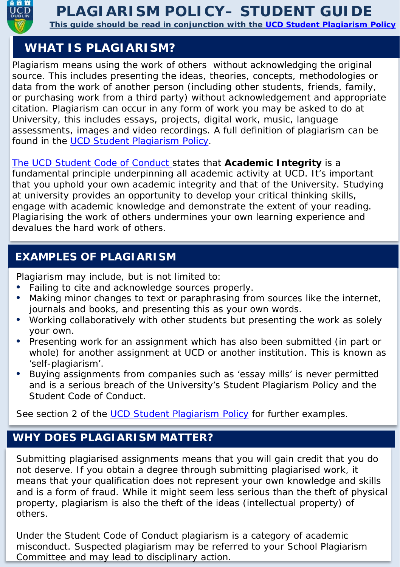

# **PLAGIARISM POLICY– STUDENT GUIDE**

**This guide should be read in conjunction with the [UCD Student Plagiarism Policy](https://sisweb.ucd.ie/usis/!W_HU_MENU.P_PUBLISH?p_tag=GD-DOCLAND&ID=222)**

# **WHAT IS PLAGIARISM?**

Plagiarism means using the work of others without acknowledging the original source. This includes presenting the ideas, theories, concepts, methodologies or data from the work of another person (including other students, friends, family, or purchasing work from a third party) without acknowledgement and appropriate citation. Plagiarism can occur in any form of work you may be asked to do at University, this includes essays, projects, digital work, music, language assessments, images and video recordings. A full definition of plagiarism can be found in the [UCD Student Plagiarism Policy.](https://sisweb.ucd.ie/usis/!W_HU_MENU.P_PUBLISH?p_tag=GD-DOCLAND&ID=222)

[The UCD Student Code of Conduct s](https://sisweb.ucd.ie/usis/!W_HU_MENU.P_PUBLISH?p_tag=GD-DOCLAND&ID=221)tates that *Academic Integrity is a fundamental principle underpinning all academic activity at UCD*. It's important that you uphold your own academic integrity and that of the University. Studying at university provides an opportunity to develop your critical thinking skills, engage with academic knowledge and demonstrate the extent of your reading. Plagiarising the work of others undermines your own learning experience and

devalues the hard work of others.

### **EXAMPLES OF PLAGIARISM**

Plagiarism may include, but is not limited to:

- Failing to cite and acknowledge sources properly.
- Making minor changes to text or paraphrasing from sources like the internet, journals and books, and presenting this as your own words.
- Working collaboratively with other students but presenting the work as solely your own.
- Presenting work for an assignment which has also been submitted (in part or whole) for another assignment at UCD or another institution. This is known as 'self-plagiarism'.
- Buying assignments from companies such as 'essay mills' is never permitted and is a serious breach of the University's Student Plagiarism Policy and the Student Code of Conduct.

See section 2 of the [UCD Student Plagiarism Policy](https://sisweb.ucd.ie/usis/!W_HU_MENU.P_PUBLISH?p_tag=GD-DOCLAND&ID=222) for further examples.

# **WHY DOES PLAGIARISM MATTER?**

Submitting plagiarised assignments means that you will gain credit that you do not deserve. If you obtain a degree through submitting plagiarised work, it means that your qualification does not represent your own knowledge and skills and is a form of fraud. While it might seem less serious than the theft of physical property, plagiarism is also the theft of the ideas (intellectual property) of others.

Under the Student Code of Conduct plagiarism is a category of academic misconduct. Suspected plagiarism may be referred to your School Plagiarism Committee and may lead to disciplinary action.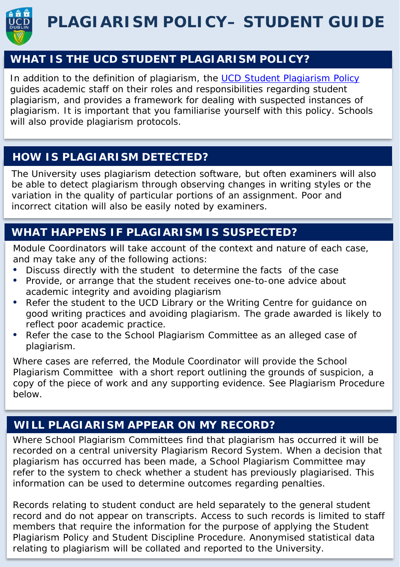

# **WHAT IS THE UCD STUDENT PLAGIARISM POLICY?**

In addition to the definition of plagiarism, the [UCD Student Plagiarism Policy](https://sisweb.ucd.ie/usis/!W_HU_MENU.P_PUBLISH?p_tag=GD-DOCLAND&ID=222) guides academic staff on their roles and responsibilities regarding student plagiarism, and provides a framework for dealing with suspected instances of plagiarism. It is important that you familiarise yourself with this policy. Schools will also provide plagiarism protocols.

## **HOW IS PLAGIARISM DETECTED?**

The University uses plagiarism detection software, but often examiners will also be able to detect plagiarism through observing changes in writing styles or the variation in the quality of particular portions of an assignment. Poor and incorrect citation will also be easily noted by examiners.

# **WHAT HAPPENS IF PLAGIARISM IS SUSPECTED?**

Module Coordinators will take account of the context and nature of each case, and may take any of the following actions:

- Discuss directly with the student to determine the facts of the case
- Provide, or arrange that the student receives one-to-one advice about academic integrity and avoiding plagiarism
- Refer the student to the UCD Library or the Writing Centre for guidance on good writing practices and avoiding plagiarism. The grade awarded is likely to reflect poor academic practice.
- Refer the case to the School Plagiarism Committee as an alleged case of plagiarism.

Where cases are referred, the Module Coordinator will provide the School Plagiarism Committee with a short report outlining the grounds of suspicion, a copy of the piece of work and any supporting evidence. See Plagiarism Procedure below.

# **WILL PLAGIARISM APPEAR ON MY RECORD?**

Where School Plagiarism Committees find that plagiarism has occurred it will be recorded on a central university Plagiarism Record System. When a decision that plagiarism has occurred has been made, a School Plagiarism Committee may refer to the system to check whether a student has previously plagiarised. This information can be used to determine outcomes regarding penalties.

Records relating to student conduct are held separately to the general student record and do not appear on transcripts. Access to such records is limited to staff members that require the information for the purpose of applying the Student Plagiarism Policy and Student Discipline Procedure. Anonymised statistical data relating to plagiarism will be collated and reported to the University.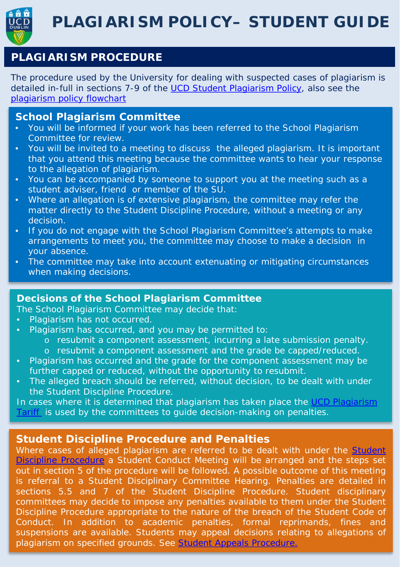

## **PLAGIARISM PROCEDURE**

The procedure used by the University for dealing with suspected cases of plagiarism is detailed in-full in sections 7-9 of the [UCD Student Plagiarism Policy,](https://sisweb.ucd.ie/usis/!W_HU_MENU.P_PUBLISH?p_tag=GD-DOCLAND&ID=222) also see the [plagiarism policy flowchart](https://www.ucd.ie/secca/t4media/secca_plagiarism_process_map.pdf)

#### **School Plagiarism Committee**

- You will be informed if your work has been referred to the School Plagiarism Committee for review.
- You will be invited to a meeting to discuss the alleged plagiarism. It is important that you attend this meeting because the committee wants to hear your response to the allegation of plagiarism.
- You can be accompanied by someone to support you at the meeting such as a student adviser, friend or member of the SU.
- Where an allegation is of extensive plagiarism, the committee may refer the matter directly to the Student Discipline Procedure, without a meeting or any decision.
- If you do not engage with the School Plagiarism Committee's attempts to make arrangements to meet you, the committee may choose to make a decision in your absence.
- The committee may take into account extenuating or mitigating circumstances when making decisions.

#### **Decisions of the School Plagiarism Committee**

The School Plagiarism Committee may decide that:

- Plagiarism has not occurred.
- Plagiarism has occurred, and you may be permitted to:
	- o resubmit a component assessment, incurring a late submission penalty.
	- o resubmit a component assessment and the grade be capped/reduced.
- Plagiarism has occurred and the grade for the component assessment may be further capped or reduced, without the opportunity to resubmit.
- The alleged breach should be referred, without decision, to be dealt with under the Student Discipline Procedure.

[In cases where it is determined that plagiarism has taken place the UCD Plagiarism](https://www.ucd.ie/secca/t4media/plagiarism_tariff.pdf) Tariff is used by the committees to guide decision-making on penalties.

#### **Student Discipline Procedure and Penalties**

Where cases of alleged plagiarism are referred to be dealt with under the Student Discipline [Procedure](https://sisweb.ucd.ie/usis/!W_HU_MENU.P_PUBLISH?p_tag=GD-DOCLAND&ID=226) a Student Conduct Meeting will be arranged and the steps set out in section 5 of the procedure will be followed. A possible outcome of this meeting is referral to a Student Disciplinary Committee Hearing. Penalties are detailed in sections 5.5 and 7 of the Student Discipline Procedure. Student disciplinary committees may decide to impose any penalties available to them under the Student Discipline Procedure appropriate to the nature of the breach of the Student Code of Conduct. In addition to academic penalties, formal reprimands, fines and suspensions are available. Students may appeal decisions relating to allegations of plagiarism on specified grounds. See Student Appeals [Procedure.](https://www.ucd.ie/secca/studentappeals/)